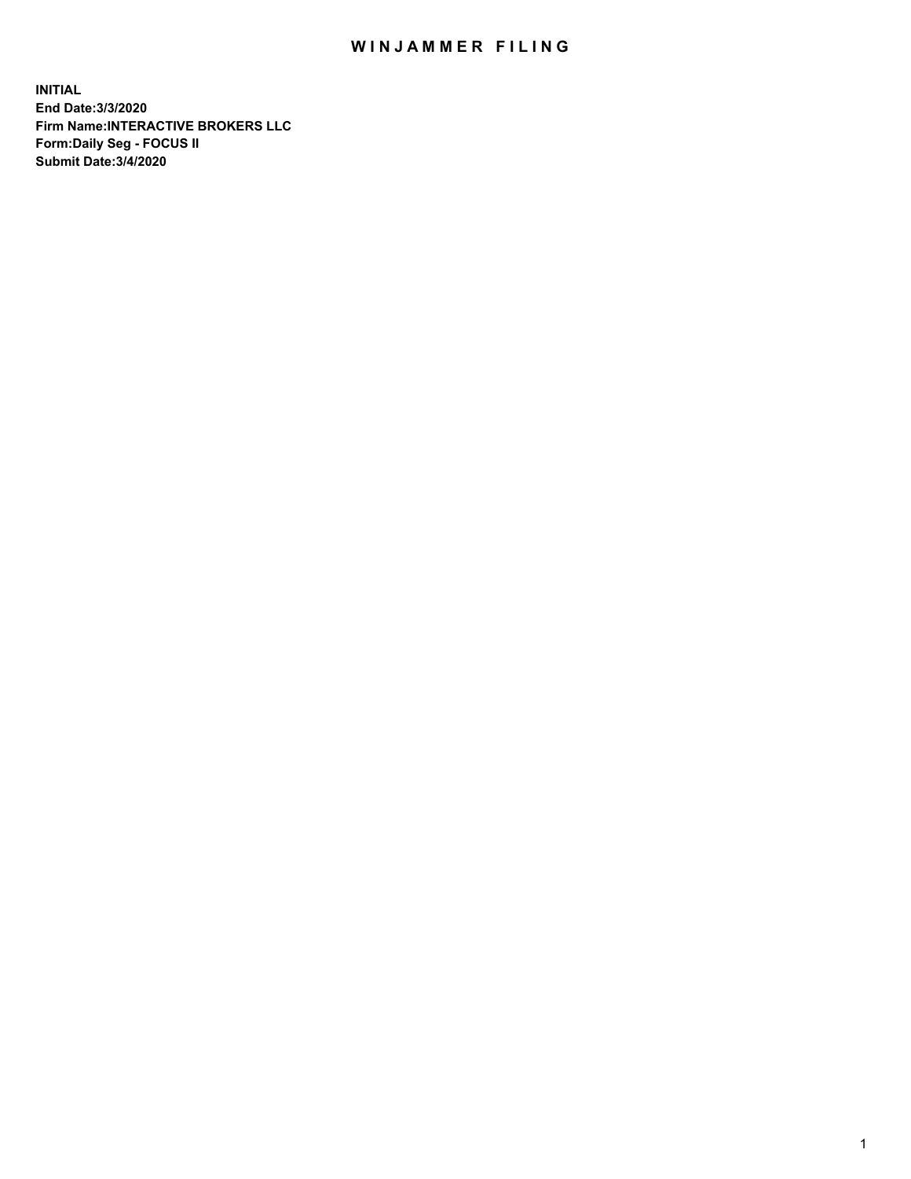## WIN JAMMER FILING

**INITIAL End Date:3/3/2020 Firm Name:INTERACTIVE BROKERS LLC Form:Daily Seg - FOCUS II Submit Date:3/4/2020**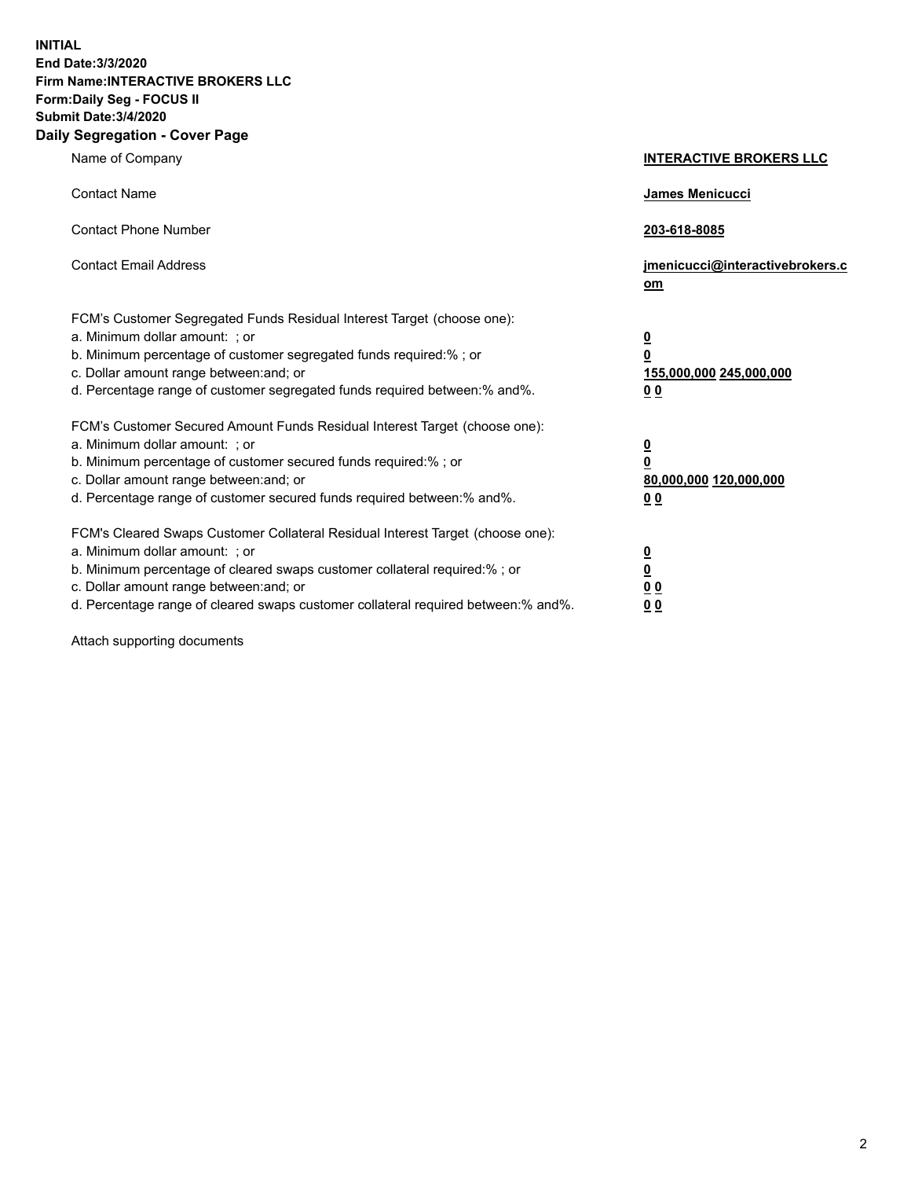**INITIAL End Date:3/3/2020 Firm Name:INTERACTIVE BROKERS LLC Form:Daily Seg - FOCUS II Submit Date:3/4/2020 Daily Segregation - Cover Page**

| Name of Company                                                                                                                                                                                                                                                                                                                | <b>INTERACTIVE BROKERS LLC</b>                                                                 |
|--------------------------------------------------------------------------------------------------------------------------------------------------------------------------------------------------------------------------------------------------------------------------------------------------------------------------------|------------------------------------------------------------------------------------------------|
| <b>Contact Name</b>                                                                                                                                                                                                                                                                                                            | James Menicucci                                                                                |
| <b>Contact Phone Number</b>                                                                                                                                                                                                                                                                                                    | 203-618-8085                                                                                   |
| <b>Contact Email Address</b>                                                                                                                                                                                                                                                                                                   | jmenicucci@interactivebrokers.c<br>om                                                          |
| FCM's Customer Segregated Funds Residual Interest Target (choose one):<br>a. Minimum dollar amount: ; or<br>b. Minimum percentage of customer segregated funds required:% ; or<br>c. Dollar amount range between: and; or<br>d. Percentage range of customer segregated funds required between: % and %.                       | $\overline{\mathbf{0}}$<br>$\overline{\mathbf{0}}$<br>155,000,000 245,000,000<br><u>00</u>     |
| FCM's Customer Secured Amount Funds Residual Interest Target (choose one):<br>a. Minimum dollar amount: ; or<br>b. Minimum percentage of customer secured funds required:% ; or<br>c. Dollar amount range between: and; or<br>d. Percentage range of customer secured funds required between:% and%.                           | $\overline{\mathbf{0}}$<br>$\overline{\mathbf{0}}$<br>80,000,000 120,000,000<br>0 <sub>0</sub> |
| FCM's Cleared Swaps Customer Collateral Residual Interest Target (choose one):<br>a. Minimum dollar amount: ; or<br>b. Minimum percentage of cleared swaps customer collateral required:% ; or<br>c. Dollar amount range between: and; or<br>d. Percentage range of cleared swaps customer collateral required between:% and%. | $\frac{0}{0}$<br>0 <sub>0</sub><br>0 <sub>0</sub>                                              |

Attach supporting documents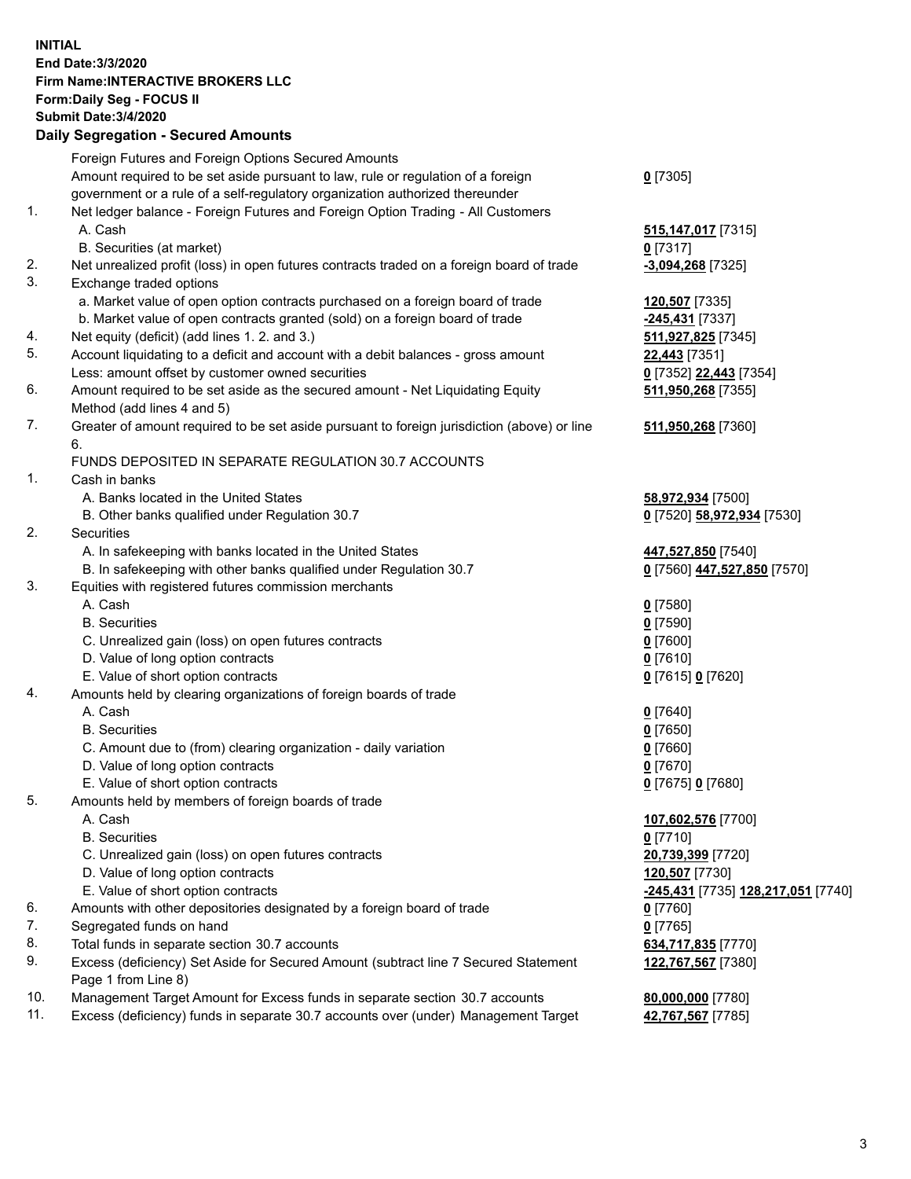## **INITIAL End Date:3/3/2020 Firm Name:INTERACTIVE BROKERS LLC Form:Daily Seg - FOCUS II Submit Date:3/4/2020 Daily Segregation - Secured Amounts**

|     | Dany Ocgregation - Occarea Anioants                                                                        |                                    |
|-----|------------------------------------------------------------------------------------------------------------|------------------------------------|
|     | Foreign Futures and Foreign Options Secured Amounts                                                        |                                    |
|     | Amount required to be set aside pursuant to law, rule or regulation of a foreign                           | $0$ [7305]                         |
|     | government or a rule of a self-regulatory organization authorized thereunder                               |                                    |
| 1.  | Net ledger balance - Foreign Futures and Foreign Option Trading - All Customers                            |                                    |
|     | A. Cash                                                                                                    | 515, 147, 017 [7315]               |
|     | B. Securities (at market)                                                                                  | $0$ [7317]                         |
| 2.  | Net unrealized profit (loss) in open futures contracts traded on a foreign board of trade                  | $-3,094,268$ [7325]                |
| 3.  | Exchange traded options                                                                                    |                                    |
|     | a. Market value of open option contracts purchased on a foreign board of trade                             | 120,507 [7335]                     |
|     | b. Market value of open contracts granted (sold) on a foreign board of trade                               | -245,431 [7337]                    |
| 4.  | Net equity (deficit) (add lines 1. 2. and 3.)                                                              | 511,927,825 [7345]                 |
| 5.  | Account liquidating to a deficit and account with a debit balances - gross amount                          | 22,443 [7351]                      |
|     | Less: amount offset by customer owned securities                                                           | 0 [7352] 22,443 [7354]             |
| 6.  | Amount required to be set aside as the secured amount - Net Liquidating Equity                             | 511,950,268 [7355]                 |
|     | Method (add lines 4 and 5)                                                                                 |                                    |
| 7.  | Greater of amount required to be set aside pursuant to foreign jurisdiction (above) or line                | 511,950,268 [7360]                 |
|     | 6.                                                                                                         |                                    |
|     | FUNDS DEPOSITED IN SEPARATE REGULATION 30.7 ACCOUNTS                                                       |                                    |
| 1.  | Cash in banks                                                                                              |                                    |
|     | A. Banks located in the United States                                                                      | 58,972,934 [7500]                  |
|     | B. Other banks qualified under Regulation 30.7                                                             | 0 [7520] 58,972,934 [7530]         |
| 2.  | Securities                                                                                                 |                                    |
|     | A. In safekeeping with banks located in the United States                                                  | 447,527,850 [7540]                 |
|     | B. In safekeeping with other banks qualified under Regulation 30.7                                         | 0 [7560] 447,527,850 [7570]        |
| 3.  | Equities with registered futures commission merchants                                                      |                                    |
|     | A. Cash                                                                                                    | $0$ [7580]                         |
|     | <b>B.</b> Securities                                                                                       | $0$ [7590]                         |
|     | C. Unrealized gain (loss) on open futures contracts                                                        | $0$ [7600]                         |
|     | D. Value of long option contracts                                                                          | $0$ [7610]                         |
|     | E. Value of short option contracts                                                                         | 0 [7615] 0 [7620]                  |
| 4.  | Amounts held by clearing organizations of foreign boards of trade                                          |                                    |
|     | A. Cash                                                                                                    | $0$ [7640]                         |
|     | <b>B.</b> Securities                                                                                       | $0$ [7650]                         |
|     | C. Amount due to (from) clearing organization - daily variation                                            | $0$ [7660]                         |
|     | D. Value of long option contracts                                                                          | $0$ [7670]                         |
|     | E. Value of short option contracts                                                                         | 0 [7675] 0 [7680]                  |
| 5.  | Amounts held by members of foreign boards of trade                                                         |                                    |
|     | A. Cash                                                                                                    | 107,602,576 [7700]                 |
|     | <b>B.</b> Securities                                                                                       | $0$ [7710]                         |
|     | C. Unrealized gain (loss) on open futures contracts                                                        | 20,739,399 [7720]                  |
|     | D. Value of long option contracts                                                                          | 120,507 [7730]                     |
|     | E. Value of short option contracts                                                                         | -245,431 [7735] 128,217,051 [7740] |
| 6.  | Amounts with other depositories designated by a foreign board of trade                                     | 0 [7760]                           |
| 7.  | Segregated funds on hand                                                                                   | $0$ [7765]                         |
| 8.  | Total funds in separate section 30.7 accounts                                                              | 634,717,835 [7770]                 |
| 9.  | Excess (deficiency) Set Aside for Secured Amount (subtract line 7 Secured Statement<br>Page 1 from Line 8) | 122,767,567 [7380]                 |
| 10. | Management Target Amount for Excess funds in separate section 30.7 accounts                                | 80,000,000 [7780]                  |
| 11. | Excess (deficiency) funds in separate 30.7 accounts over (under) Management Target                         | 42,767,567 [7785]                  |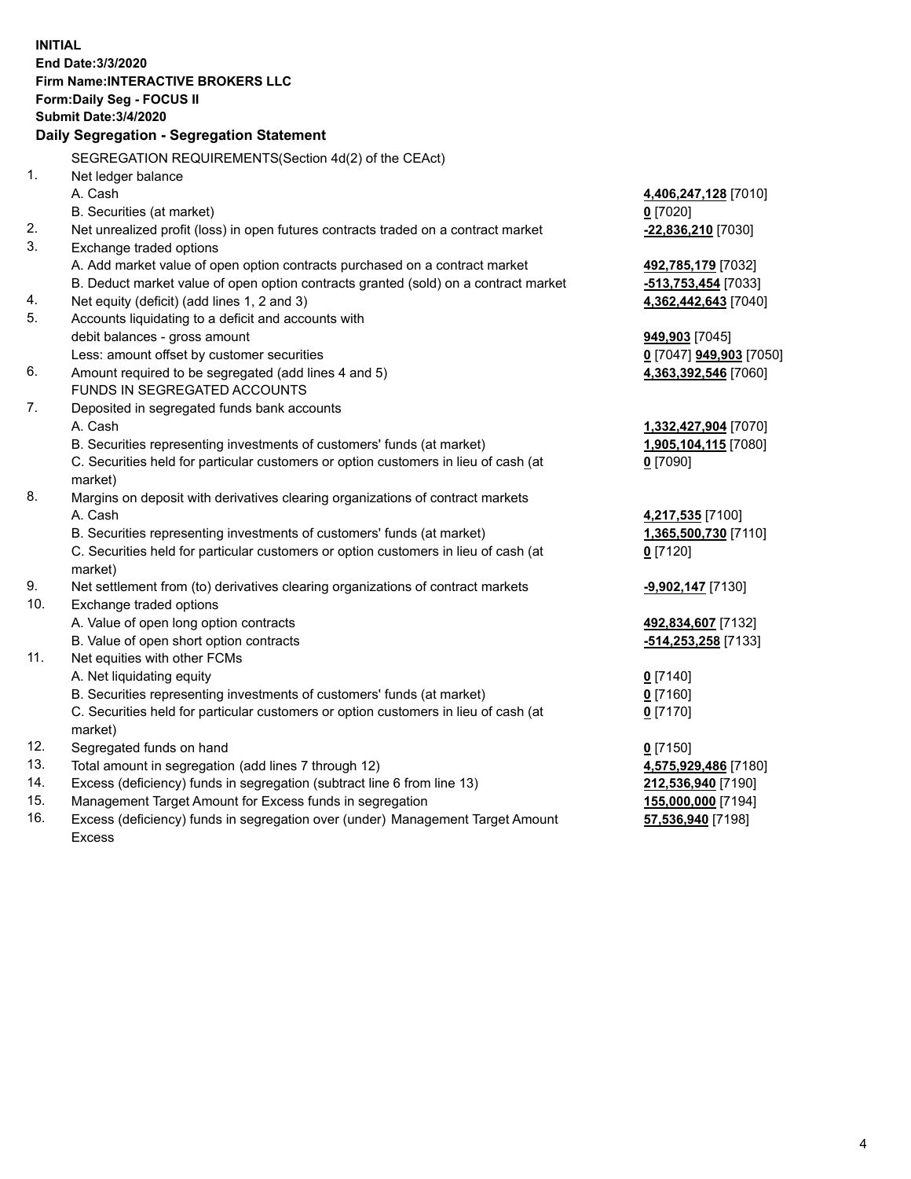**INITIAL End Date:3/3/2020 Firm Name:INTERACTIVE BROKERS LLC Form:Daily Seg - FOCUS II Submit Date:3/4/2020 Daily Segregation - Segregation Statement** SEGREGATION REQUIREMENTS(Section 4d(2) of the CEAct) 1. Net ledger balance A. Cash **4,406,247,128** [7010] B. Securities (at market) **0** [7020] 2. Net unrealized profit (loss) in open futures contracts traded on a contract market **-22,836,210** [7030] 3. Exchange traded options A. Add market value of open option contracts purchased on a contract market **492,785,179** [7032] B. Deduct market value of open option contracts granted (sold) on a contract market **-513,753,454** [7033] 4. Net equity (deficit) (add lines 1, 2 and 3) **4,362,442,643** [7040] 5. Accounts liquidating to a deficit and accounts with debit balances - gross amount **949,903** [7045] Less: amount offset by customer securities **0** [7047] **949,903** [7050] 6. Amount required to be segregated (add lines 4 and 5) **4,363,392,546** [7060] FUNDS IN SEGREGATED ACCOUNTS 7. Deposited in segregated funds bank accounts A. Cash **1,332,427,904** [7070] B. Securities representing investments of customers' funds (at market) **1,905,104,115** [7080] C. Securities held for particular customers or option customers in lieu of cash (at market) **0** [7090] 8. Margins on deposit with derivatives clearing organizations of contract markets A. Cash **4,217,535** [7100] B. Securities representing investments of customers' funds (at market) **1,365,500,730** [7110] C. Securities held for particular customers or option customers in lieu of cash (at market) **0** [7120] 9. Net settlement from (to) derivatives clearing organizations of contract markets **-9,902,147** [7130] 10. Exchange traded options A. Value of open long option contracts **492,834,607** [7132] B. Value of open short option contracts **-514,253,258** [7133] 11. Net equities with other FCMs A. Net liquidating equity **0** [7140] B. Securities representing investments of customers' funds (at market) **0** [7160] C. Securities held for particular customers or option customers in lieu of cash (at market) **0** [7170] 12. Segregated funds on hand **0** [7150] 13. Total amount in segregation (add lines 7 through 12) **4,575,929,486** [7180] 14. Excess (deficiency) funds in segregation (subtract line 6 from line 13) **212,536,940** [7190] 15. Management Target Amount for Excess funds in segregation **155,000,000** [7194] 16. Excess (deficiency) funds in segregation over (under) Management Target Amount **57,536,940** [7198]

Excess